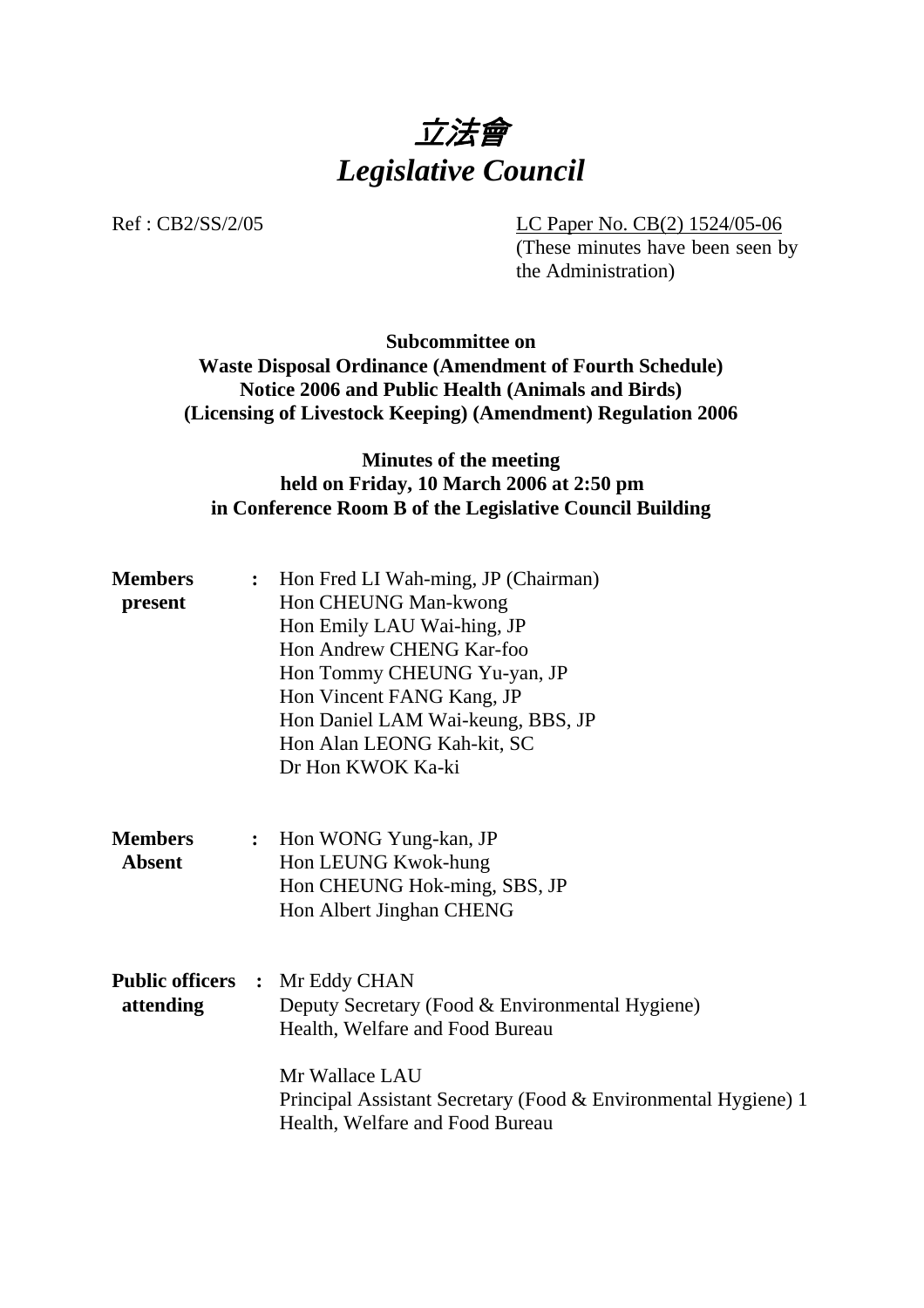

Ref : CB2/SS/2/05 LC Paper No. CB(2) 1524/05-06

(These minutes have been seen by the Administration)

## **Subcommittee on Waste Disposal Ordinance (Amendment of Fourth Schedule) Notice 2006 and Public Health (Animals and Birds) (Licensing of Livestock Keeping) (Amendment) Regulation 2006**

## **Minutes of the meeting held on Friday, 10 March 2006 at 2:50 pm in Conference Room B of the Legislative Council Building**

| <b>Members</b><br>present       | : Hon Fred LI Wah-ming, JP (Chairman)<br>Hon CHEUNG Man-kwong<br>Hon Emily LAU Wai-hing, JP<br>Hon Andrew CHENG Kar-foo<br>Hon Tommy CHEUNG Yu-yan, JP<br>Hon Vincent FANG Kang, JP<br>Hon Daniel LAM Wai-keung, BBS, JP<br>Hon Alan LEONG Kah-kit, SC<br>Dr Hon KWOK Ka-ki |
|---------------------------------|-----------------------------------------------------------------------------------------------------------------------------------------------------------------------------------------------------------------------------------------------------------------------------|
| <b>Members</b><br><b>Absent</b> | : Hon WONG Yung-kan, JP<br>Hon LEUNG Kwok-hung<br>Hon CHEUNG Hok-ming, SBS, JP<br>Hon Albert Jinghan CHENG                                                                                                                                                                  |
| attending                       | <b>Public officers : Mr Eddy CHAN</b><br>Deputy Secretary (Food & Environmental Hygiene)<br>Health, Welfare and Food Bureau<br>Mr Wallace LAU<br>Principal Assistant Secretary (Food & Environmental Hygiene) 1<br>Health, Welfare and Food Bureau                          |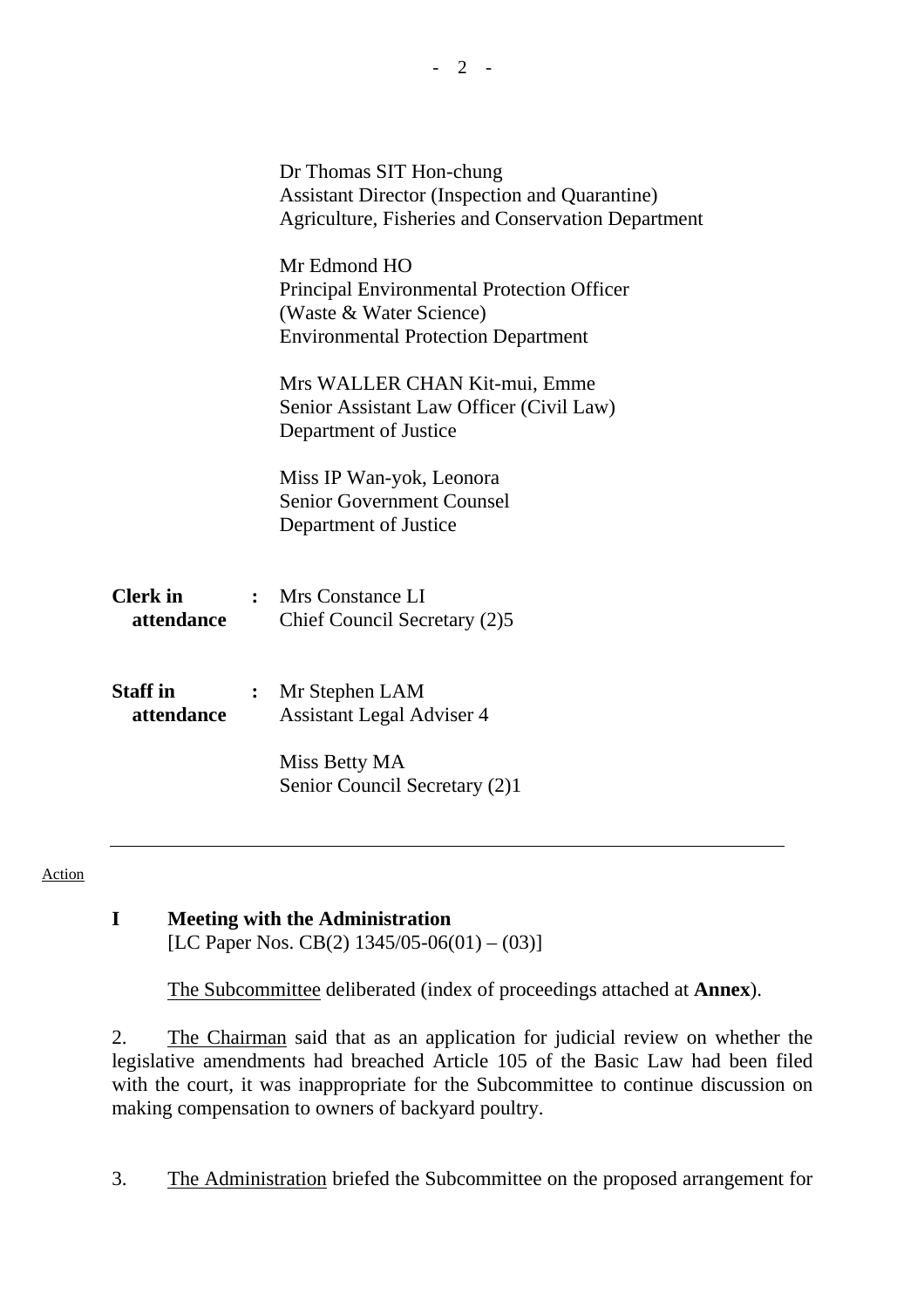|                               |                | Dr Thomas SIT Hon-chung<br><b>Assistant Director (Inspection and Quarantine)</b><br>Agriculture, Fisheries and Conservation Department     |  |  |
|-------------------------------|----------------|--------------------------------------------------------------------------------------------------------------------------------------------|--|--|
|                               |                | Mr Edmond HO<br><b>Principal Environmental Protection Officer</b><br>(Waste & Water Science)<br><b>Environmental Protection Department</b> |  |  |
|                               |                | Mrs WALLER CHAN Kit-mui, Emme<br>Senior Assistant Law Officer (Civil Law)<br>Department of Justice                                         |  |  |
|                               |                | Miss IP Wan-yok, Leonora<br><b>Senior Government Counsel</b><br>Department of Justice                                                      |  |  |
| <b>Clerk</b> in<br>attendance |                | : Mrs Constance LI<br>Chief Council Secretary (2)5                                                                                         |  |  |
| <b>Staff</b> in<br>attendance | $\ddot{\cdot}$ | Mr Stephen LAM<br><b>Assistant Legal Adviser 4</b>                                                                                         |  |  |
|                               |                | Miss Betty MA<br>Senior Council Secretary (2)1                                                                                             |  |  |

#### Action

# **I Meeting with the Administration**

[LC Paper Nos. CB(2)  $1345/05-06(01) - (03)$ ]

1. The Subcommittee deliberated (index of proceedings attached at **Annex**).

2. The Chairman said that as an application for judicial review on whether the legislative amendments had breached Article 105 of the Basic Law had been filed with the court, it was inappropriate for the Subcommittee to continue discussion on making compensation to owners of backyard poultry.

3. The Administration briefed the Subcommittee on the proposed arrangement for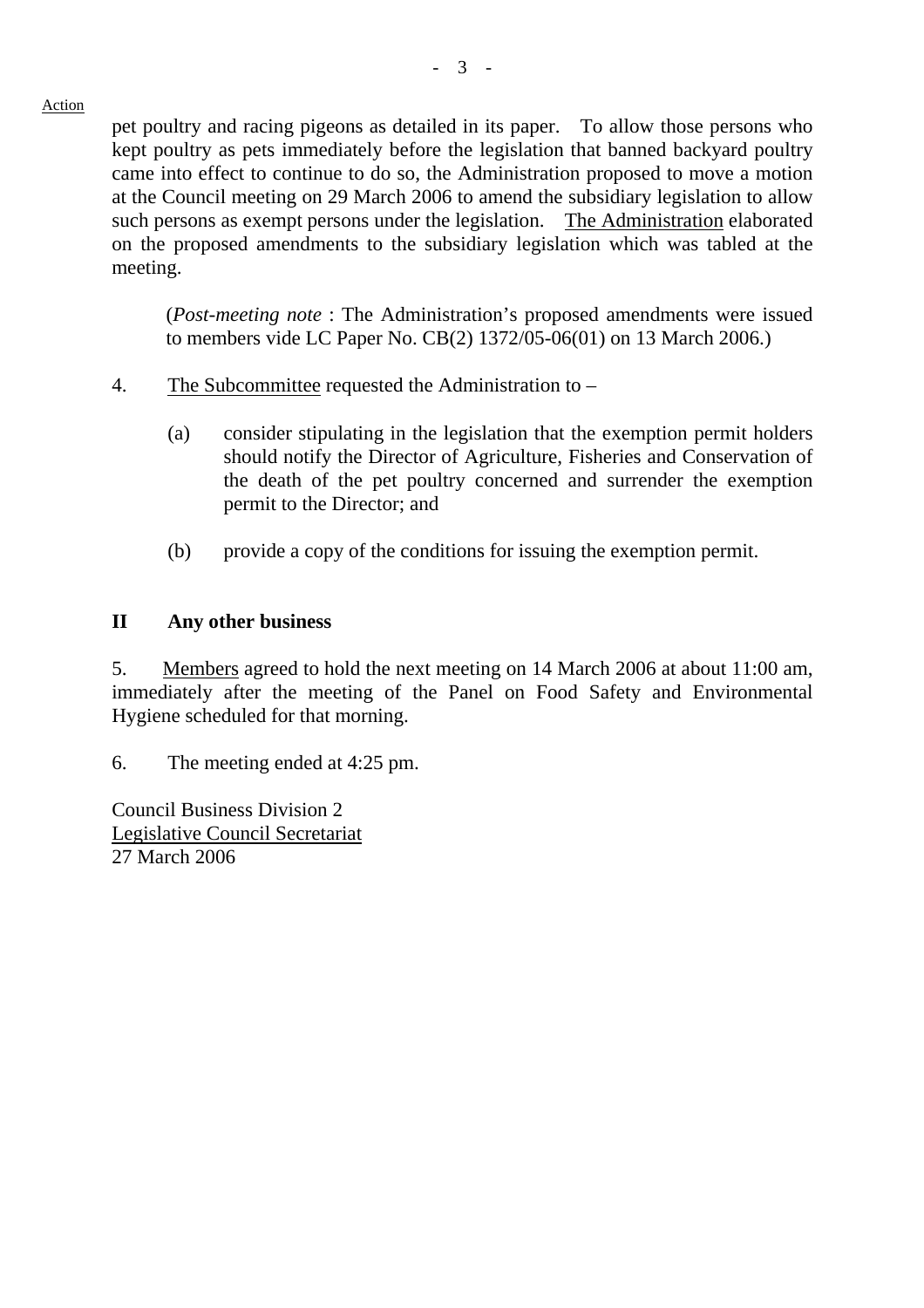Action

pet poultry and racing pigeons as detailed in its paper. To allow those persons who kept poultry as pets immediately before the legislation that banned backyard poultry came into effect to continue to do so, the Administration proposed to move a motion at the Council meeting on 29 March 2006 to amend the subsidiary legislation to allow such persons as exempt persons under the legislation. The Administration elaborated on the proposed amendments to the subsidiary legislation which was tabled at the meeting.

(*Post-meeting note* : The Administration's proposed amendments were issued to members vide LC Paper No. CB(2) 1372/05-06(01) on 13 March 2006.)

- 4. The Subcommittee requested the Administration to
	- (a) consider stipulating in the legislation that the exemption permit holders should notify the Director of Agriculture, Fisheries and Conservation of the death of the pet poultry concerned and surrender the exemption permit to the Director; and
	- (b) provide a copy of the conditions for issuing the exemption permit.

# **II Any other business**

5. Members agreed to hold the next meeting on 14 March 2006 at about 11:00 am, immediately after the meeting of the Panel on Food Safety and Environmental Hygiene scheduled for that morning.

6. The meeting ended at 4:25 pm.

Council Business Division 2 Legislative Council Secretariat 27 March 2006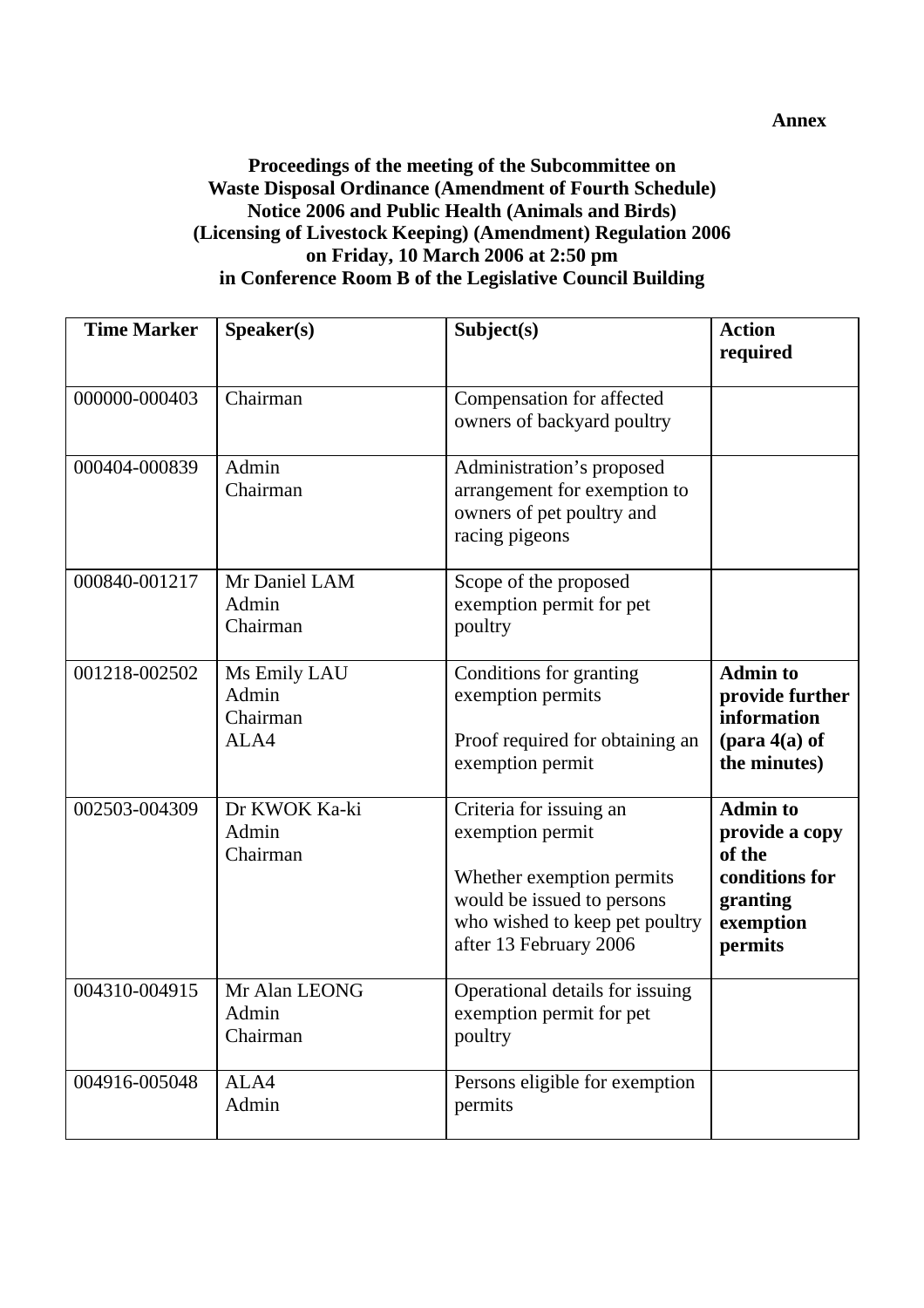#### **Proceedings of the meeting of the Subcommittee on Waste Disposal Ordinance (Amendment of Fourth Schedule) Notice 2006 and Public Health (Animals and Birds) (Licensing of Livestock Keeping) (Amendment) Regulation 2006 on Friday, 10 March 2006 at 2:50 pm in Conference Room B of the Legislative Council Building**

| <b>Time Marker</b> | S <sub>p</sub> e <sub>aker</sub> (s)      | Subject(s)                                                                                                                                                         | <b>Action</b><br>required                                                                             |
|--------------------|-------------------------------------------|--------------------------------------------------------------------------------------------------------------------------------------------------------------------|-------------------------------------------------------------------------------------------------------|
| 000000-000403      | Chairman                                  | Compensation for affected<br>owners of backyard poultry                                                                                                            |                                                                                                       |
| 000404-000839      | Admin<br>Chairman                         | Administration's proposed<br>arrangement for exemption to<br>owners of pet poultry and<br>racing pigeons                                                           |                                                                                                       |
| 000840-001217      | Mr Daniel LAM<br>Admin<br>Chairman        | Scope of the proposed<br>exemption permit for pet<br>poultry                                                                                                       |                                                                                                       |
| 001218-002502      | Ms Emily LAU<br>Admin<br>Chairman<br>ALA4 | Conditions for granting<br>exemption permits<br>Proof required for obtaining an<br>exemption permit                                                                | <b>Admin to</b><br>provide further<br>information<br>$(\text{para } 4(a) \text{ of }$<br>the minutes) |
| 002503-004309      | Dr KWOK Ka-ki<br>Admin<br>Chairman        | Criteria for issuing an<br>exemption permit<br>Whether exemption permits<br>would be issued to persons<br>who wished to keep pet poultry<br>after 13 February 2006 | <b>Admin to</b><br>provide a copy<br>of the<br>conditions for<br>granting<br>exemption<br>permits     |
| 004310-004915      | Mr Alan LEONG<br>Admin<br>Chairman        | Operational details for issuing<br>exemption permit for pet<br>poultry                                                                                             |                                                                                                       |
| 004916-005048      | ALA4<br>Admin                             | Persons eligible for exemption<br>permits                                                                                                                          |                                                                                                       |